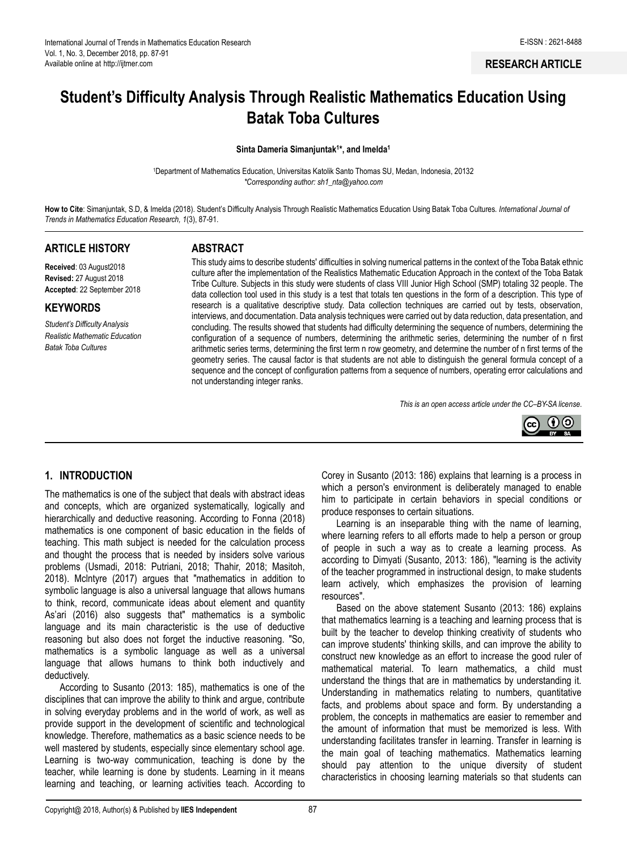# **Student's Difficulty Analysis Through Realistic Mathematics Education Using Batak Toba Cultures**

**Sinta Dameria Simanjuntak<sup>1</sup> \*, and Imelda<sup>1</sup>**

<sup>1</sup>Department of Mathematics Education, Universitas Katolik Santo Thomas SU, Medan, Indonesia, 20132 *\*Corresponding author: sh1\_nta@yahoo.com*

**How to Cite**: Simanjuntak, S.D, & Imelda (2018). Student's Difficulty Analysis Through Realistic Mathematics Education Using Batak Toba Cultures*. International Journal of Trends in Mathematics Education Research, 1*(3), 87-91.

#### **ARTICLE HISTORY**

**Received**: 03 August2018 **Revised:** 27 August 2018 **Accepted**: 22 September 2018

#### **KEYWORDS**

*Student's Difficulty Analysis Realistic Mathematic Education Batak Toba Cultures*

#### **ABSTRACT**

This study aims to describe students' difficulties in solving numerical patterns in the context of the Toba Batak ethnic culture after the implementation of the Realistics Mathematic Education Approach in the context of the Toba Batak Tribe Culture. Subjects in this study were students of class VIII Junior High School (SMP) totaling 32 people. The data collection tool used in this study is a test that totals ten questions in the form of a description. This type of research is a qualitative descriptive study. Data collection techniques are carried out by tests, observation, interviews, and documentation. Data analysis techniques were carried out by data reduction, data presentation, and concluding. The results showed that students had difficulty determining the sequence of numbers, determining the configuration of a sequence of numbers, determining the arithmetic series, determining the number of n first arithmetic series terms, determining the first term n row geometry, and determine the number of n first terms of the geometry series. The causal factor is that students are not able to distinguish the general formula concept of a sequence and the concept of configuration patterns from a sequence of numbers, operating error calculations and not understanding integer ranks.

*This is an open access article under the CC–[BY-SA](http://creativecommons.org/licenses/by-sa/4.0/) license*.



## **1. INTRODUCTION**

The mathematics is one of the subject that deals with abstract ideas and concepts, which are organized systematically, logically and hierarchically and deductive reasoning. According to Fonna (2018) mathematics is one component of basic education in the fields of teaching. This math subject is needed for the calculation process and thought the process that is needed by insiders solve various problems (Usmadi, 2018: Putriani, 2018; Thahir, 2018; Masitoh, 2018). Mclntyre (2017) argues that "mathematics in addition to symbolic language is also a universal language that allows humans to think, record, communicate ideas about element and quantity As'ari (2016) also suggests that" mathematics is a symbolic language and its main characteristic is the use of deductive reasoning but also does not forget the inductive reasoning. "So, mathematics is a symbolic language as well as a universal language that allows humans to think both inductively and deductively.

According to Susanto (2013: 185), mathematics is one of the disciplines that can improve the ability to think and argue, contribute in solving everyday problems and in the world of work, as well as provide support in the development of scientific and technological knowledge. Therefore, mathematics as a basic science needs to be well mastered by students, especially since elementary school age. Learning is two-way communication, teaching is done by the teacher, while learning is done by students. Learning in it means learning and teaching, or learning activities teach. According to

Corey in Susanto (2013: 186) explains that learning is a process in which a person's environment is deliberately managed to enable him to participate in certain behaviors in special conditions or produce responses to certain situations.

Learning is an inseparable thing with the name of learning, where learning refers to all efforts made to help a person or group of people in such a way as to create a learning process. As according to Dimyati (Susanto, 2013: 186), "learning is the activity of the teacher programmed in instructional design, to make students learn actively, which emphasizes the provision of learning resources".

Based on the above statement Susanto (2013: 186) explains that mathematics learning is a teaching and learning process that is built by the teacher to develop thinking creativity of students who can improve students' thinking skills, and can improve the ability to construct new knowledge as an effort to increase the good ruler of mathematical material. To learn mathematics, a child must understand the things that are in mathematics by understanding it. Understanding in mathematics relating to numbers, quantitative facts, and problems about space and form. By understanding a problem, the concepts in mathematics are easier to remember and the amount of information that must be memorized is less. With understanding facilitates transfer in learning. Transfer in learning is the main goal of teaching mathematics. Mathematics learning should pay attention to the unique diversity of student characteristics in choosing learning materials so that students can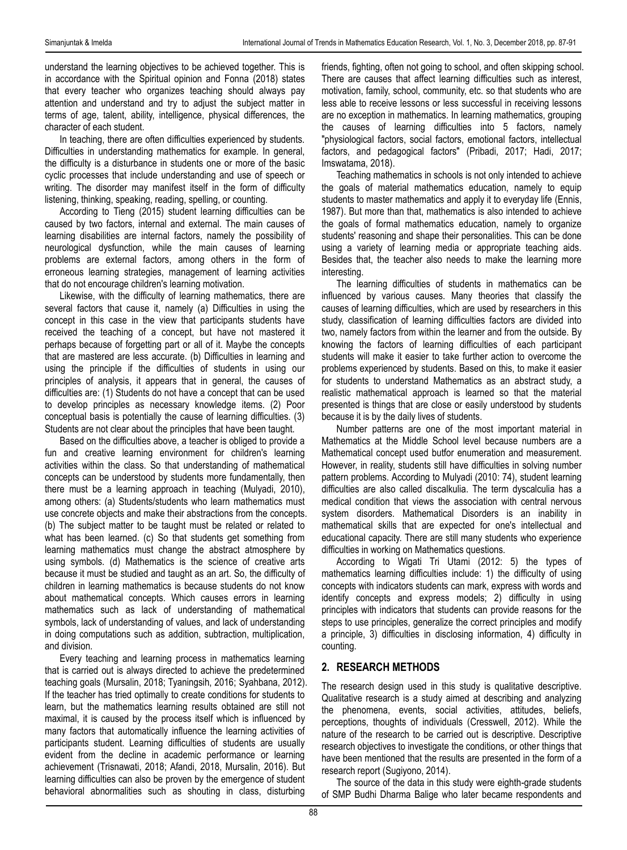understand the learning objectives to be achieved together. This is in accordance with the Spiritual opinion and Fonna (2018) states that every teacher who organizes teaching should always pay attention and understand and try to adjust the subject matter in terms of age, talent, ability, intelligence, physical differences, the character of each student.

In teaching, there are often difficulties experienced by students. Difficulties in understanding mathematics for example. In general, the difficulty is a disturbance in students one or more of the basic cyclic processes that include understanding and use of speech or writing. The disorder may manifest itself in the form of difficulty listening, thinking, speaking, reading, spelling, or counting.

According to Tieng (2015) student learning difficulties can be caused by two factors, internal and external. The main causes of learning disabilities are internal factors, namely the possibility of neurological dysfunction, while the main causes of learning problems are external factors, among others in the form of erroneous learning strategies, management of learning activities that do not encourage children's learning motivation.

Likewise, with the difficulty of learning mathematics, there are several factors that cause it, namely (a) Difficulties in using the concept in this case in the view that participants students have received the teaching of a concept, but have not mastered it perhaps because of forgetting part or all of it. Maybe the concepts that are mastered are less accurate. (b) Difficulties in learning and using the principle if the difficulties of students in using our principles of analysis, it appears that in general, the causes of difficulties are: (1) Students do not have a concept that can be used to develop principles as necessary knowledge items. (2) Poor conceptual basis is potentially the cause of learning difficulties. (3) Students are not clear about the principles that have been taught.

Based on the difficulties above, a teacher is obliged to provide a fun and creative learning environment for children's learning activities within the class. So that understanding of mathematical concepts can be understood by students more fundamentally, then there must be a learning approach in teaching (Mulyadi, 2010), among others: (a) Students/students who learn mathematics must use concrete objects and make their abstractions from the concepts. (b) The subject matter to be taught must be related or related to what has been learned. (c) So that students get something from learning mathematics must change the abstract atmosphere by using symbols. (d) Mathematics is the science of creative arts because it must be studied and taught as an art. So, the difficulty of children in learning mathematics is because students do not know about mathematical concepts. Which causes errors in learning mathematics such as lack of understanding of mathematical symbols, lack of understanding of values, and lack of understanding in doing computations such as addition, subtraction, multiplication, and division.

Every teaching and learning process in mathematics learning that is carried out is always directed to achieve the predetermined teaching goals (Mursalin, 2018; Tyaningsih, 2016; Syahbana, 2012). If the teacher has tried optimally to create conditions for students to learn, but the mathematics learning results obtained are still not maximal, it is caused by the process itself which is influenced by many factors that automatically influence the learning activities of participants student. Learning difficulties of students are usually evident from the decline in academic performance or learning achievement (Trisnawati, 2018; Afandi, 2018, Mursalin, 2016). But learning difficulties can also be proven by the emergence of student behavioral abnormalities such as shouting in class, disturbing

friends, fighting, often not going to school, and often skipping school. There are causes that affect learning difficulties such as interest, motivation, family, school, community, etc. so that students who are less able to receive lessons or less successful in receiving lessons are no exception in mathematics. In learning mathematics, grouping the causes of learning difficulties into 5 factors, namely "physiological factors, social factors, emotional factors, intellectual factors, and pedagogical factors" (Pribadi, 2017; Hadi, 2017; Imswatama, 2018).

Teaching mathematics in schools is not only intended to achieve the goals of material mathematics education, namely to equip students to master mathematics and apply it to everyday life (Ennis, 1987). But more than that, mathematics is also intended to achieve the goals of formal mathematics education, namely to organize students' reasoning and shape their personalities. This can be done using a variety of learning media or appropriate teaching aids. Besides that, the teacher also needs to make the learning more interesting.

The learning difficulties of students in mathematics can be influenced by various causes. Many theories that classify the causes of learning difficulties, which are used by researchers in this study, classification of learning difficulties factors are divided into two, namely factors from within the learner and from the outside. By knowing the factors of learning difficulties of each participant students will make it easier to take further action to overcome the problems experienced by students. Based on this, to make it easier for students to understand Mathematics as an abstract study, a realistic mathematical approach is learned so that the material presented is things that are close or easily understood by students because it is by the daily lives of students.

Number patterns are one of the most important material in Mathematics at the Middle School level because numbers are a Mathematical concept used butfor enumeration and measurement. However, in reality, students still have difficulties in solving number pattern problems. According to Mulyadi (2010: 74), student learning difficulties are also called discalkulia. The term dyscalculia has a medical condition that views the association with central nervous system disorders. Mathematical Disorders is an inability in mathematical skills that are expected for one's intellectual and educational capacity. There are still many students who experience difficulties in working on Mathematics questions.

According to Wigati Tri Utami (2012: 5) the types of mathematics learning difficulties include: 1) the difficulty of using concepts with indicators students can mark, express with words and identify concepts and express models; 2) difficulty in using principles with indicators that students can provide reasons for the steps to use principles, generalize the correct principles and modify a principle, 3) difficulties in disclosing information, 4) difficulty in counting.

# **2. RESEARCH METHODS**

The research design used in this study is qualitative descriptive. Qualitative research is a study aimed at describing and analyzing the phenomena, events, social activities, attitudes, beliefs, perceptions, thoughts of individuals (Cresswell, 2012). While the nature of the research to be carried out is descriptive. Descriptive research objectives to investigate the conditions, or other things that have been mentioned that the results are presented in the form of a research report (Sugiyono, 2014).

The source of the data in this study were eighth-grade students of SMP Budhi Dharma Balige who later became respondents and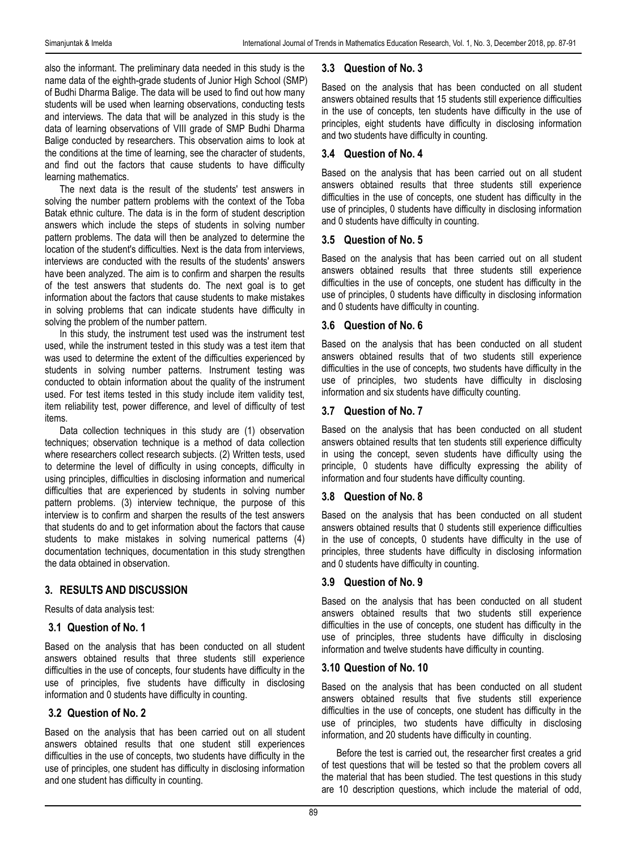also the informant. The preliminary data needed in this study is the name data of the eighth-grade students of Junior High School (SMP) of Budhi Dharma Balige. The data will be used to find out how many students will be used when learning observations, conducting tests and interviews. The data that will be analyzed in this study is the data of learning observations of VIII grade of SMP Budhi Dharma Balige conducted by researchers. This observation aims to look at the conditions at the time of learning, see the character of students, and find out the factors that cause students to have difficulty learning mathematics.

The next data is the result of the students' test answers in solving the number pattern problems with the context of the Toba Batak ethnic culture. The data is in the form of student description answers which include the steps of students in solving number pattern problems. The data will then be analyzed to determine the location of the student's difficulties. Next is the data from interviews, interviews are conducted with the results of the students' answers have been analyzed. The aim is to confirm and sharpen the results of the test answers that students do. The next goal is to get information about the factors that cause students to make mistakes in solving problems that can indicate students have difficulty in solving the problem of the number pattern.

In this study, the instrument test used was the instrument test used, while the instrument tested in this study was a test item that was used to determine the extent of the difficulties experienced by students in solving number patterns. Instrument testing was conducted to obtain information about the quality of the instrument used. For test items tested in this study include item validity test, item reliability test, power difference, and level of difficulty of test items.

Data collection techniques in this study are (1) observation techniques; observation technique is a method of data collection where researchers collect research subjects. (2) Written tests, used to determine the level of difficulty in using concepts, difficulty in using principles, difficulties in disclosing information and numerical difficulties that are experienced by students in solving number pattern problems. (3) interview technique, the purpose of this interview is to confirm and sharpen the results of the test answers that students do and to get information about the factors that cause students to make mistakes in solving numerical patterns (4) documentation techniques, documentation in this study strengthen the data obtained in observation.

# **3. RESULTS AND DISCUSSION**

Results of data analysis test:

## **3.1 Question of No. 1**

Based on the analysis that has been conducted on all student answers obtained results that three students still experience difficulties in the use of concepts, four students have difficulty in the use of principles, five students have difficulty in disclosing information and 0 students have difficulty in counting.

## **3.2 Question of No. 2**

Based on the analysis that has been carried out on all student answers obtained results that one student still experiences difficulties in the use of concepts, two students have difficulty in the use of principles, one student has difficulty in disclosing information and one student has difficulty in counting.

## **3.3 Question of No. 3**

Based on the analysis that has been conducted on all student answers obtained results that 15 students still experience difficulties in the use of concepts, ten students have difficulty in the use of principles, eight students have difficulty in disclosing information and two students have difficulty in counting.

## **3.4 Question of No. 4**

Based on the analysis that has been carried out on all student answers obtained results that three students still experience difficulties in the use of concepts, one student has difficulty in the use of principles, 0 students have difficulty in disclosing information and 0 students have difficulty in counting.

#### **3.5 Question of No. 5**

Based on the analysis that has been carried out on all student answers obtained results that three students still experience difficulties in the use of concepts, one student has difficulty in the use of principles, 0 students have difficulty in disclosing information and 0 students have difficulty in counting.

## **3.6 Question of No. 6**

Based on the analysis that has been conducted on all student answers obtained results that of two students still experience difficulties in the use of concepts, two students have difficulty in the use of principles, two students have difficulty in disclosing information and six students have difficulty counting.

## **3.7 Question of No. 7**

Based on the analysis that has been conducted on all student answers obtained results that ten students still experience difficulty in using the concept, seven students have difficulty using the principle, 0 students have difficulty expressing the ability of information and four students have difficulty counting.

## **3.8 Question of No. 8**

Based on the analysis that has been conducted on all student answers obtained results that 0 students still experience difficulties in the use of concepts, 0 students have difficulty in the use of principles, three students have difficulty in disclosing information and 0 students have difficulty in counting.

## **3.9 Question of No. 9**

Based on the analysis that has been conducted on all student answers obtained results that two students still experience difficulties in the use of concepts, one student has difficulty in the use of principles, three students have difficulty in disclosing information and twelve students have difficulty in counting.

## **3.10 Question of No. 10**

Based on the analysis that has been conducted on all student answers obtained results that five students still experience difficulties in the use of concepts, one student has difficulty in the use of principles, two students have difficulty in disclosing information, and 20 students have difficulty in counting.

Before the test is carried out, the researcher first creates a grid of test questions that will be tested so that the problem covers all the material that has been studied. The test questions in this study are 10 description questions, which include the material of odd,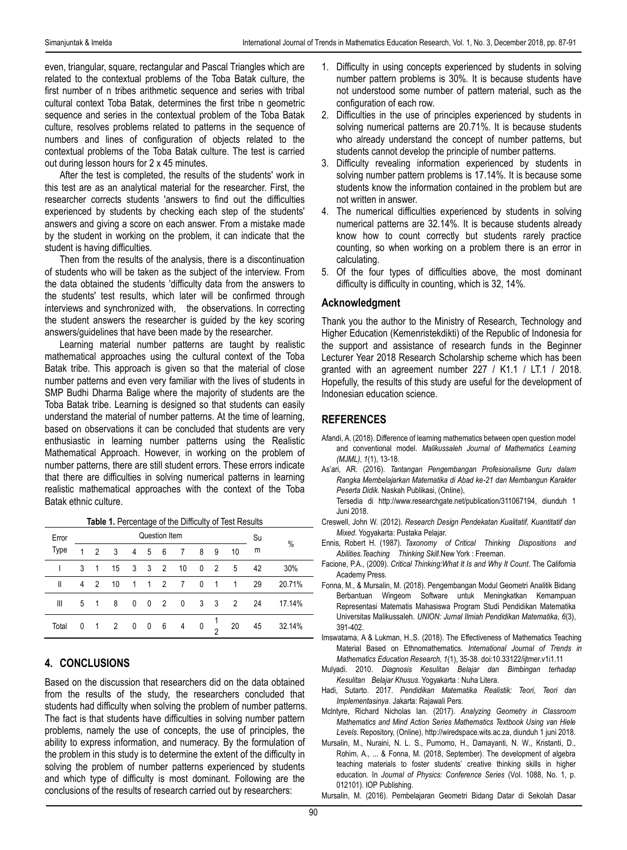even, triangular, square, rectangular and Pascal Triangles which are related to the contextual problems of the Toba Batak culture, the first number of n tribes arithmetic sequence and series with tribal cultural context Toba Batak, determines the first tribe n geometric sequence and series in the contextual problem of the Toba Batak culture, resolves problems related to patterns in the sequence of numbers and lines of configuration of objects related to the contextual problems of the Toba Batak culture. The test is carried out during lesson hours for 2 x 45 minutes.

After the test is completed, the results of the students' work in this test are as an analytical material for the researcher. First, the researcher corrects students 'answers to find out the difficulties experienced by students by checking each step of the students' answers and giving a score on each answer. From a mistake made by the student in working on the problem, it can indicate that the student is having difficulties.

Then from the results of the analysis, there is a discontinuation of students who will be taken as the subject of the interview. From the data obtained the students 'difficulty data from the answers to the students' test results, which later will be confirmed through interviews and synchronized with, the observations. In correcting the student answers the researcher is guided by the key scoring answers/guidelines that have been made by the researcher.

Learning material number patterns are taught by realistic mathematical approaches using the cultural context of the Toba Batak tribe. This approach is given so that the material of close number patterns and even very familiar with the lives of students in SMP Budhi Dharma Balige where the majority of students are the Toba Batak tribe. Learning is designed so that students can easily understand the material of number patterns. At the time of learning, based on observations it can be concluded that students are very enthusiastic in learning number patterns using the Realistic Mathematical Approach. However, in working on the problem of number patterns, there are still student errors. These errors indicate that there are difficulties in solving numerical patterns in learning realistic mathematical approaches with the context of the Toba Batak ethnic culture.

|  |  | Table 1. Percentage of the Difficulty of Test Results |  |  |  |  |  |
|--|--|-------------------------------------------------------|--|--|--|--|--|
|--|--|-------------------------------------------------------|--|--|--|--|--|

| Error | Question Item |                |    |              |        |            |                |   | Su  | %  |    |        |
|-------|---------------|----------------|----|--------------|--------|------------|----------------|---|-----|----|----|--------|
| Type  | 1             | $\mathfrak{p}$ | 3  | 4            | 5      | 6          | 7              | 8 | 9   | 10 | m  |        |
|       | 3             |                | 15 | 3            | $_{3}$ | 2          | 10             | 0 | 2   | 5  | 42 | 30%    |
| Ш     | 4             | $\overline{2}$ | 10 | $\mathbf{1}$ |        | $1\quad 2$ | $\overline{7}$ | 0 | -1  | 1  | 29 | 20.71% |
| Ш     | 5             |                | 8  | 0            | 0      | 2          | 0              | 3 | - 3 | 2  | 24 | 17.14% |
| Total | 0             |                | 2  | 0            | 0      | 6          | 4              | 0 | c   | 20 | 45 | 32.14% |

## **4. CONCLUSIONS**

Based on the discussion that researchers did on the data obtained from the results of the study, the researchers concluded that students had difficulty when solving the problem of number patterns. The fact is that students have difficulties in solving number pattern problems, namely the use of concepts, the use of principles, the ability to express information, and numeracy. By the formulation of the problem in this study is to determine the extent of the difficulty in solving the problem of number patterns experienced by students and which type of difficulty is most dominant. Following are the conclusions of the results of research carried out by researchers:

- 1. Difficulty in using concepts experienced by students in solving number pattern problems is 30%. It is because students have not understood some number of pattern material, such as the configuration of each row.
- 2. Difficulties in the use of principles experienced by students in solving numerical patterns are 20.71%. It is because students who already understand the concept of number patterns, but students cannot develop the principle of number patterns.
- 3. Difficulty revealing information experienced by students in solving number pattern problems is 17.14%. It is because some students know the information contained in the problem but are not written in answer.
- 4. The numerical difficulties experienced by students in solving numerical patterns are 32.14%. It is because students already know how to count correctly but students rarely practice counting, so when working on a problem there is an error in calculating.
- 5. Of the four types of difficulties above, the most dominant difficulty is difficulty in counting, which is 32, 14%.

#### **Acknowledgment**

Thank you the author to the Ministry of Research, Technology and Higher Education (Kemenristekdikti) of the Republic of Indonesia for the support and assistance of research funds in the Beginner Lecturer Year 2018 Research Scholarship scheme which has been granted with an agreement number 227 / K1.1 / LT.1 / 2018. Hopefully, the results of this study are useful for the development of Indonesian education science.

# **REFERENCES**

- Afandi, A. (2018). Difference of learning mathematics between open question model and conventional model. *Malikussaleh Journal of Mathematics Learning (MJML)*, *1*(1), 13-18.
- As'ari, AR. (2016). *Tantangan Pengembangan Profesionalisme Guru dalam Rangka Membelajarkan Matematika di Abad ke-21 dan Membangun Karakter Peserta Didik.* Naskah Publikasi, (Online),

Tersedia di [http://www.researchgate.net/publication/311067194,](http://www.researchgate.net/publication/311067194) diunduh 1 Juni 2018.

- Creswell, John W. (2012). *Research Design Pendekatan Kualitatif, Kuantitatif dan Mixed*. Yogyakarta: Pustaka Pelajar.
- Ennis, Robert H. (1987). *Taxonomy of Critical Thinking Dispositions and Abilities.Teaching Thinking Skill*.New York : Freeman.
- Facione, P.A., (2009). *Critical Thinking:What It Is and Why It Count*. The California Academy Press.
- Fonna, M., & Mursalin, M. (2018). Pengembangan Modul Geometri Analitik Bidang Berbantuan Wingeom Software untuk Meningkatkan Kemampuan Representasi Matematis Mahasiswa Program Studi Pendidikan Matematika Universitas Malikussaleh. *UNION: Jurnal Ilmiah Pendidikan Matematika*, *6*(3), 391-402.
- Imswatama, A & Lukman, H.,S. (2018). The Effectiveness of Mathematics Teaching Material Based on Ethnomathematics*. International Journal of Trends in Mathematics Education Research, 1*(1), 35-38. [doi:10.33122/ijtmer.v1i1.11](http://dx.doi.org/10.33122/ijtmer.v1i1.11)
- Mulyadi. 2010. *Diagnosis Kesulitan Belajar dan Bimbingan terhadap Kesulitan Belajar Khusus*. Yogyakarta : Nuha Litera.
- Hadi, Sutarto. 2017. *Pendidikan Matematika Realistik: Teori, Teori dan Implementasinya*. Jakarta: Rajawali Pers.
- Mclntyre, Richard Nicholas Ian. (2017). *Analyzing Geometry in Classroom Mathematics and Mind Action Series Mathematics Textbook Using van Hiele Levels*. Repository, (Online)[, http://wiredspace.wits.ac.za,](http://wiredspace.wits.ac.za/) diunduh 1 juni 2018.
- Mursalin, M., Nuraini, N. L. S., Purnomo, H., Damayanti, N. W., Kristanti, D., Rohim, A., ... & Fonna, M. (2018, September). The development of algebra teaching materials to foster students' creative thinking skills in higher education. In *Journal of Physics: Conference Series* (Vol. 1088, No. 1, p. 012101). IOP Publishing.

Mursalin, M. (2016). [Pembelajaran Geometri Bidang Datar di Sekolah Dasar](http://repository.unimal.ac.id/id/eprint/2482)